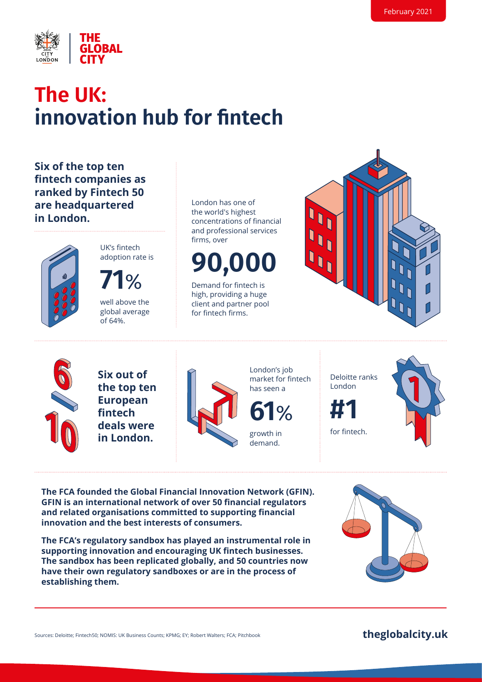

### **The UK: innovation hub for fintech**

**Six of the top ten fintech companies as ranked by Fintech 50 are headquartered in London.**



UK's fintech adoption rate is

**71**% well above the global average of 64%.

London has one of the world's highest concentrations of financial and professional services firms, over

**90,000**

Demand for fintech is high, providing a huge client and partner pool for fintech firms.





**Six out of the top ten European fintech deals were in London.**



London's job market for fintech has seen a

**61**%

growth in demand.

Deloitte ranks London



for fintech.

**The FCA founded the Global Financial Innovation Network (GFIN). GFIN is an international network of over 50 financial regulators and related organisations committed to supporting financial innovation and the best interests of consumers.** 

**The FCA's regulatory sandbox has played an instrumental role in supporting innovation and encouraging UK fintech businesses. The sandbox has been replicated globally, and 50 countries now have their own regulatory sandboxes or are in the process of establishing them.**

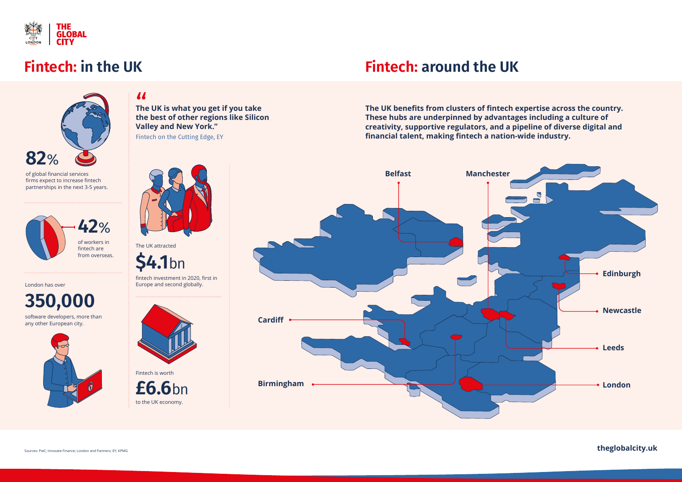

### **Fintech: in the UK**



**The UK is what you get if you take the best of other regions like Silicon Valley and New York."**  Fintech on the Cutting Edge, EY *i*<br>The<br>the

of global financial services firms expect to increase fintech partnerships in the next 3-5 years.

fintech investment in 2020, first in London has over **Europe and second globally.** Europe and second globally.





**\$4.1**bn

**350,000**

software developers, more than any other European city.





## **Fintech: around the UK**

**The UK benefits from clusters of fintech expertise across the country. These hubs are underpinned by advantages including a culture of creativity, supportive regulators, and a pipeline of diverse digital and financial talent, making fintech a nation-wide industry.** 



Sources: PwC; Innovate Finance; London and Partners; EY; KPMG **theglobalcity.uk**